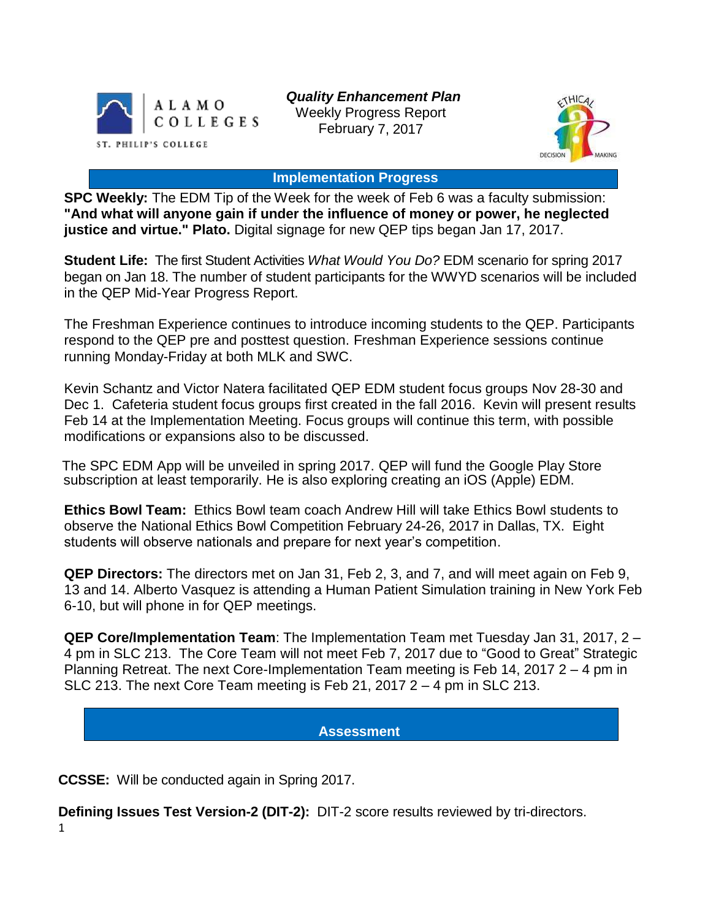

*Quality Enhancement Plan* Weekly Progress Report February 7, 2017



### **Implementation Progress**

**SPC Weekly:** The EDM Tip of the Week for the week of Feb 6 was a faculty submission: **"And what will anyone gain if under the influence of money or power, he neglected justice and virtue." Plato.** Digital signage for new QEP tips began Jan 17, 2017.

**Student Life:** The first Student Activities *What Would You Do?* EDM scenario for spring 2017 began on Jan 18. The number of student participants for the WWYD scenarios will be included in the QEP Mid-Year Progress Report.

The Freshman Experience continues to introduce incoming students to the QEP. Participants respond to the QEP pre and posttest question. Freshman Experience sessions continue running Monday-Friday at both MLK and SWC.

Kevin Schantz and Victor Natera facilitated QEP EDM student focus groups Nov 28-30 and Dec 1. Cafeteria student focus groups first created in the fall 2016. Kevin will present results Feb 14 at the Implementation Meeting. Focus groups will continue this term, with possible modifications or expansions also to be discussed.

The SPC EDM App will be unveiled in spring 2017. QEP will fund the Google Play Store subscription at least temporarily. He is also exploring creating an iOS (Apple) EDM.

**Ethics Bowl Team:** Ethics Bowl team coach Andrew Hill will take Ethics Bowl students to observe the National Ethics Bowl Competition February 24-26, 2017 in Dallas, TX. Eight students will observe nationals and prepare for next year's competition.

**QEP Directors:** The directors met on Jan 31, Feb 2, 3, and 7, and will meet again on Feb 9, 13 and 14. Alberto Vasquez is attending a Human Patient Simulation training in New York Feb 6-10, but will phone in for QEP meetings.

**QEP Core/Implementation Team**: The Implementation Team met Tuesday Jan 31, 2017, 2 – 4 pm in SLC 213. The Core Team will not meet Feb 7, 2017 due to "Good to Great" Strategic Planning Retreat. The next Core-Implementation Team meeting is Feb 14, 2017 2 – 4 pm in SLC 213. The next Core Team meeting is Feb 21, 2017 2 – 4 pm in SLC 213.

## **Assessment**

**CCSSE:** Will be conducted again in Spring 2017.

1 **Defining Issues Test Version-2 (DIT-2):** DIT-2 score results reviewed by tri-directors.